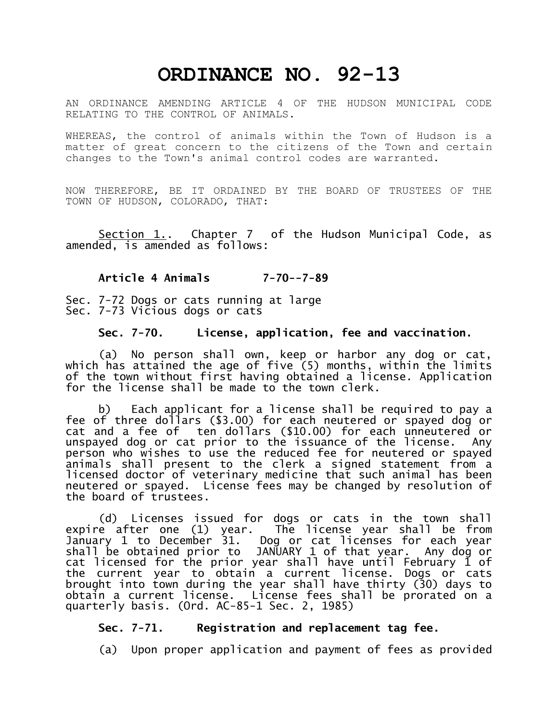# **ORDINANCE NO. 92-13**

AN ORDINANCE AMENDING ARTICLE 4 OF THE HUDSON MUNICIPAL CODE RELATING TO THE CONTROL OF ANIMALS.

WHEREAS, the control of animals within the Town of Hudson is a matter of great concern to the citizens of the Town and certain changes to the Town's animal control codes are warranted.

NOW THEREFORE, BE IT ORDAINED BY THE BOARD OF TRUSTEES OF THE TOWN OF HUDSON, COLORADO, THAT:

Section 1. Chapter 7 of the Hudson Municipal Code, as amended, is amended as follows:

**Article 4 Animals 7-70--7-89**

Sec. 7-72 Dogs or cats running at large Sec. 7-73 Vicious dogs or cats

#### **Sec. 7-70. License, application, fee and vaccination.**

(a) No person shall own, keep or harbor any dog or cat, which has attained the age of five (5) months, within the limits of the town without first having obtained a license. Application for the license shall be made to the town clerk.

b) Each applicant for a license shall be required to pay a fee of three dollars (\$3.00) for each neutered or spayed dog or cat and a fee of ten dollars (\$10.00) for each unneutered or unspayed dog or cat prior to the issuance of the license. Any person who wishes to use the reduced fee for neutered or spayed animals shall present to the clerk a signed statement from a licensed doctor of veterinary medicine that such animal has been neutered or spayed. License fees may be changed by resolution of the board of trustees.

(d) Licenses issued for dogs or cats in the town shall expire after one (1) year. The license year shall be from January 1 to December 31. Dog or cat licenses for each year shall be obtained prior to JANUARY 1 of that year. Any dog or cat licensed for the prior year shall have until February 1 of the current year to obtain a current license. Dogs or cats brought into town during the year shall have thirty (30) days to obtain a current license. License fees shall be prorated on a quarterly basis. (Ord. AC-85-1 Sec. 2, 1985)

# **Sec. 7-71. Registration and replacement tag fee.**

(a) Upon proper application and payment of fees as provided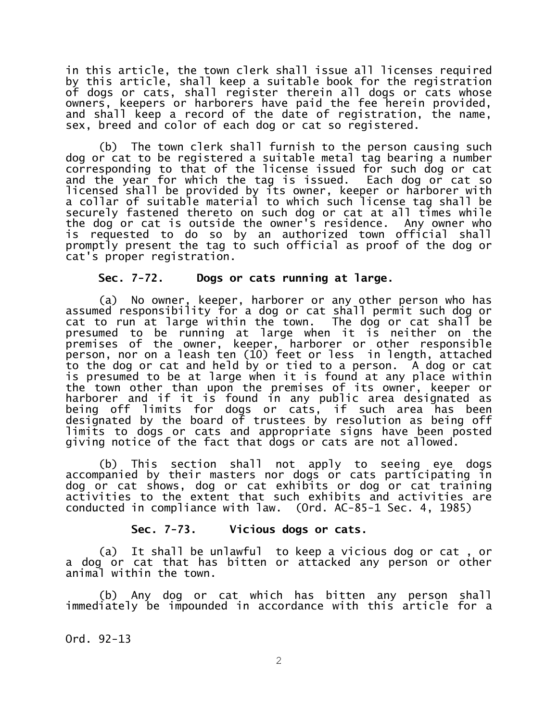in this article, the town clerk shall issue all licenses required by this article, shall keep a suitable book for the registration of dogs or cats, shall register therein all dogs or cats whose owners, keepers or harborers have paid the fee herein provided, and shall keep a record of the date of registration, the name, sex, breed and color of each dog or cat so registered.

(b) The town clerk shall furnish to the person causing such dog or cat to be registered a suitable metal tag bearing a number corresponding to that of the license issued for such dog or cat and the year for which the tag is issued. Each dog or cat so licensed shall be provided by its owner, keeper or harborer with a collar of suitable material to which such license tag shall be securely fastened thereto on such dog or cat at all times while the dog or cat is outside the owner's residence. Any owner who is requested to do so by an authorized town official shall promptly present the tag to such official as proof of the dog or cat's proper registration.

## **Sec. 7-72. Dogs or cats running at large.**

(a) No owner, keeper, harborer or any other person who has assumed responsibility for a dog or cat shall permit such dog or cat to run at large within the town. The dog or cat shall be presumed to be running at large when it is neither on the premises of the owner, keeper, harborer or other responsible person, nor on a leash ten (10) feet or less in length, attached to the dog or cat and held by or tied to a person. A dog or cat is presumed to be at large when it is found at any place within the town other than upon the premises of its owner, keeper or harborer and if it is found in any public area designated as being off limits for dogs or cats, if such area has been designated by the board of trustees by resolution as being off limits to dogs or cats and appropriate signs have been posted giving notice of the fact that dogs or cats are not allowed.

(b) This section shall not apply to seeing eye dogs accompanied by their masters nor dogs or cats participating in dog or cat shows, dog or cat exhibits or dog or cat training activities to the extent that such exhibits and activities are conducted in compliance with law. (Ord. AC-85-1 Sec. 4, 1985)

#### **Sec. 7-73. Vicious dogs or cats.**

(a) It shall be unlawful to keep a vicious dog or cat , or a dog or cat that has bitten or attacked any person or other animal within the town.

(b) Any dog or cat which has bitten any person shall immediately be impounded in accordance with this article for a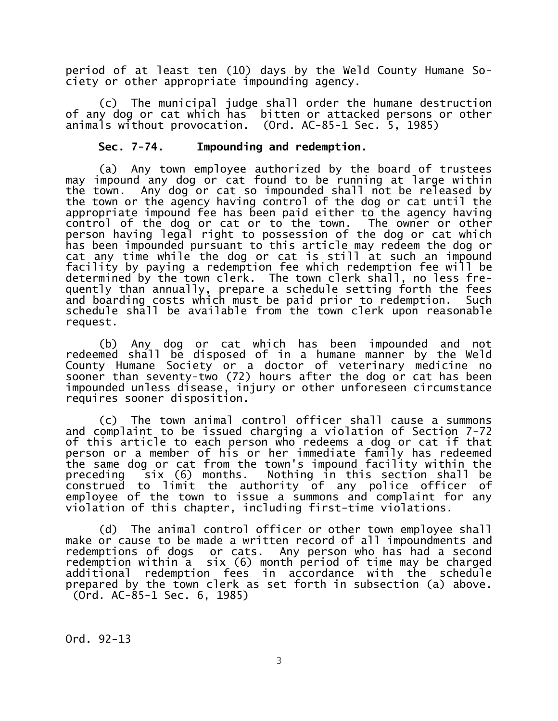period of at least ten (10) days by the Weld County Humane Society or other appropriate impounding agency.

(c) The municipal judge shall order the humane destruction of any dog or cat which has bitten or attacked persons or other animals without provocation. (Ord. AC-85-1 Sec. 5, 1985)

#### **Sec. 7-74. Impounding and redemption.**

(a) Any town employee authorized by the board of trustees may impound any dog or cat found to be running at large within the town. Any dog or cat so impounded shall not be released by the town or the agency having control of the dog or cat until the appropriate impound fee has been paid either to the agency having control of the dog or cat or to the town. The owner or other person having legal right to possession of the dog or cat which has been impounded pursuant to this article may redeem the dog or cat any time while the dog or cat is still at such an impound facility by paying a redemption fee which redemption fee will be determined by the town clerk. The town clerk shall, no less frequently than annually, prepare a schedule setting forth the fees and boarding costs which must be paid prior to redemption. Such schedule shall be available from the town clerk upon reasonable request.

(b) Any dog or cat which has been impounded and not redeemed shall be disposed of in a humane manner by the Weld County Humane Society or a doctor of veterinary medicine no sooner than seventy-two (72) hours after the dog or cat has been impounded unless disease, injury or other unforeseen circumstance requires sooner disposition.

(c) The town animal control officer shall cause a summons and complaint to be issued charging a violation of Section 7-72 of this article to each person who redeems a dog or cat if that person or a member of his or her immediate family has redeemed the same dog or cat from the town's impound facility within the preceding six (6) months. Nothing in this section shall be construed to limit the authority of any police officer of employee of the town to issue a summons and complaint for any violation of this chapter, including first-time violations.

(d) The animal control officer or other town employee shall make or cause to be made a written record of all impoundments and redemptions of dogs or cats. Any person who has had a second redemption within a six (6) month period of time may be charged additional redemption fees in accordance with the schedule prepared by the town clerk as set forth in subsection (a) above. (Ord. AC-85-1 Sec. 6, 1985)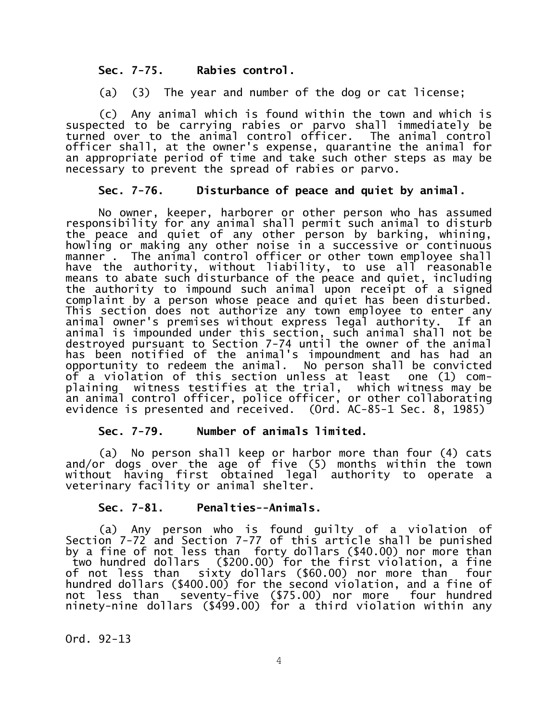## **Sec. 7-75. Rabies control.**

(a) (3) The year and number of the dog or cat license;

(c) Any animal which is found within the town and which is suspected to be carrying rabies or parvo shall immediately be turned over to the animal control officer. The animal control officer shall, at the owner's expense, quarantine the animal for an appropriate period of time and take such other steps as may be necessary to prevent the spread of rabies or parvo.

## **Sec. 7-76. Disturbance of peace and quiet by animal.**

No owner, keeper, harborer or other person who has assumed responsibility for any animal shall permit such animal to disturb the peace and quiet of any other person by barking, whining, howling or making any other noise in a successive or continuous manner . The animal control officer or other town employee shall have the authority, without liability, to use all reasonable means to abate such disturbance of the peace and quiet, including the authority to impound such animal upon receipt of a signed complaint by a person whose peace and quiet has been disturbed. This section does not authorize any town employee to enter any animal owner's premises without express legal authority. If an animal is impounded under this section, such animal shall not be destroyed pursuant to Section 7-74 until the owner of the animal has been notified of the animal's impoundment and has had an opportunity to redeem the animal. No person shall be convicted of a violation of this section unless at least one (1) complaining witness testifies at the trial, which witness may be an animal control officer, police officer, or other collaborating evidence is presented and received. (Ord. AC-85-1 Sec. 8, 1985)

# **Sec. 7-79. Number of animals limited.**

(a) No person shall keep or harbor more than four (4) cats and/or dogs over the age of five (5) months within the town without having first obtained legal authority to operate a veterinary facility or animal shelter.

# **Sec. 7-81. Penalties--Animals.**

(a) Any person who is found guilty of a violation of Section 7-72 and Section 7-77 of this article shall be punished by a fine of not less than forty dollars (\$40.00) nor more than two hundred dollars (\$200.00) for the first violation, a fine of not less than sixty dollars (\$60.00) nor more than four hundred dollars (\$400.00) for the second violation, and a fine of not less than seventy-five (\$75.00) nor more four hundred ninety-nine dollars (\$499.00) for a third violation within any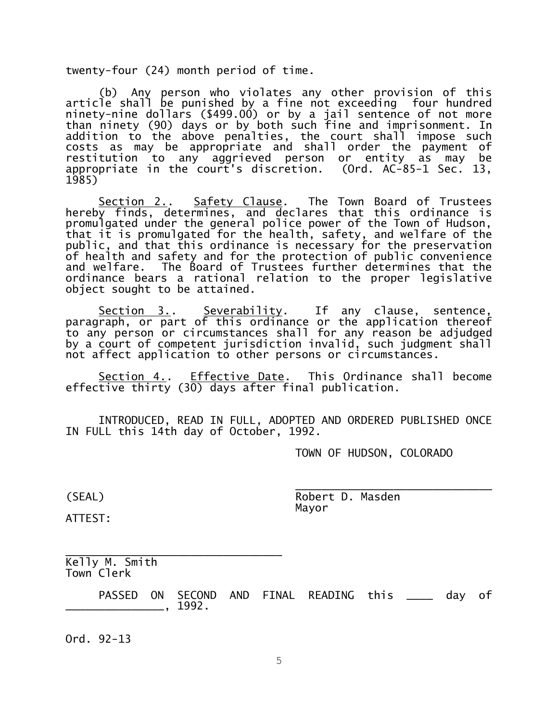twenty-four (24) month period of time.

(b) Any person who violates any other provision of this article shall be punished by a fine not exceeding four hundred ninety-nine dollars (\$499.00) or by a jail sentence of not more than ninety (90) days or by both such fine and imprisonment. In addition to the above penalties, the court shall impose such costs as may be appropriate and shall order the payment of restitution to any aggrieved person or entity as may be appropriate in the court's discretion. (Ord. AC-85-1 Sec. 13, 1985)

Section 2.. Safety Clause. The Town Board of Trustees hereby finds, determines, and declares that this ordinance is promulgated under the general police power of the Town of Hudson, that it is promulgated for the health, safety, and welfare of the public, and that this ordinance is necessary for the preservation of health and safety and for the protection of public convenience and welfare. The Board of Trustees further determines that the ordinance bears a rational relation to the proper legislative object sought to be attained.

Section 3.. Severability. If any clause, sentence, paragraph, or part of this ordinance or the application thereof to any person or circumstances shall for any reason be adjudged by a court of competent jurisdiction invalid, such judgment shall not affect application to other persons or circumstances.

Section 4.. Effective Date. This Ordinance shall become effective thirty (30) days after final publication.

INTRODUCED, READ IN FULL, ADOPTED AND ORDERED PUBLISHED ONCE IN FULL this 14th day of October, 1992.

TOWN OF HUDSON, COLORADO

\_\_\_\_\_\_\_\_\_\_\_\_\_\_\_\_\_\_\_\_\_\_\_\_\_\_\_\_\_\_ (SEAL) Robert D. Masden Mayor

ATTEST:

\_\_\_\_\_\_\_\_\_\_\_\_\_\_\_\_\_\_\_\_\_\_\_\_\_\_\_\_\_\_\_\_\_ Kelly M. Smith Town Clerk

PASSED ON SECOND AND FINAL READING this \_\_\_\_ day of \_\_\_\_\_\_\_\_\_\_\_\_\_\_\_, 1992.